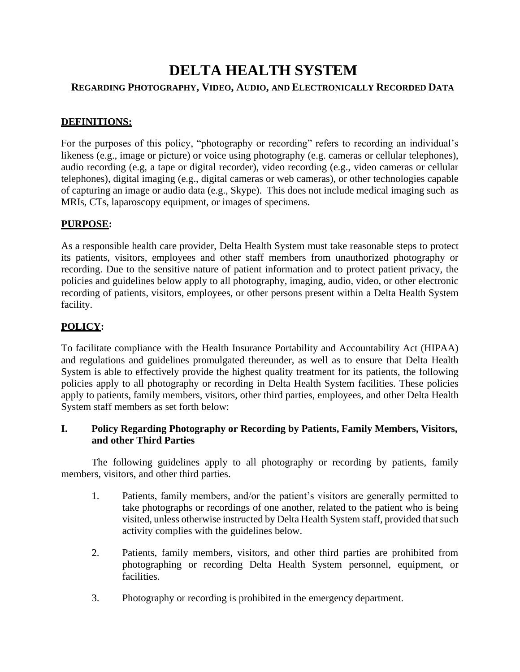# **DELTA HEALTH SYSTEM**

# **REGARDING PHOTOGRAPHY, VIDEO, AUDIO, AND ELECTRONICALLY RECORDED DATA**

# **DEFINITIONS:**

For the purposes of this policy, "photography or recording" refers to recording an individual's likeness (e.g., image or picture) or voice using photography (e.g. cameras or cellular telephones), audio recording (e.g, a tape or digital recorder), video recording (e.g., video cameras or cellular telephones), digital imaging (e.g., digital cameras or web cameras), or other technologies capable of capturing an image or audio data (e.g., Skype). This does not include medical imaging such as MRIs, CTs, laparoscopy equipment, or images of specimens.

### **PURPOSE:**

As a responsible health care provider, Delta Health System must take reasonable steps to protect its patients, visitors, employees and other staff members from unauthorized photography or recording. Due to the sensitive nature of patient information and to protect patient privacy, the policies and guidelines below apply to all photography, imaging, audio, video, or other electronic recording of patients, visitors, employees, or other persons present within a Delta Health System facility.

# **POLICY:**

To facilitate compliance with the Health Insurance Portability and Accountability Act (HIPAA) and regulations and guidelines promulgated thereunder, as well as to ensure that Delta Health System is able to effectively provide the highest quality treatment for its patients, the following policies apply to all photography or recording in Delta Health System facilities. These policies apply to patients, family members, visitors, other third parties, employees, and other Delta Health System staff members as set forth below:

### **I. Policy Regarding Photography or Recording by Patients, Family Members, Visitors, and other Third Parties**

The following guidelines apply to all photography or recording by patients, family members, visitors, and other third parties.

- 1. Patients, family members, and/or the patient's visitors are generally permitted to take photographs or recordings of one another, related to the patient who is being visited, unless otherwise instructed by Delta Health System staff, provided that such activity complies with the guidelines below.
- 2. Patients, family members, visitors, and other third parties are prohibited from photographing or recording Delta Health System personnel, equipment, or facilities.
- 3. Photography or recording is prohibited in the emergency department.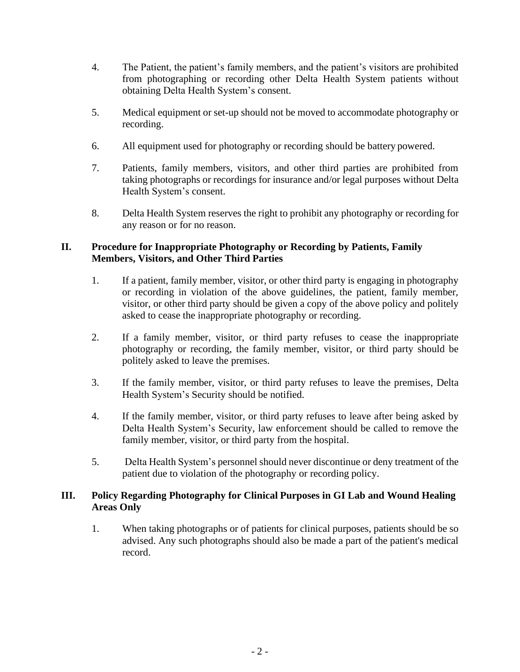- 4. The Patient, the patient's family members, and the patient's visitors are prohibited from photographing or recording other Delta Health System patients without obtaining Delta Health System's consent.
- 5. Medical equipment or set-up should not be moved to accommodate photography or recording.
- 6. All equipment used for photography or recording should be battery powered.
- 7. Patients, family members, visitors, and other third parties are prohibited from taking photographs or recordings for insurance and/or legal purposes without Delta Health System's consent.
- 8. Delta Health System reserves the right to prohibit any photography or recording for any reason or for no reason.

### **II. Procedure for Inappropriate Photography or Recording by Patients, Family Members, Visitors, and Other Third Parties**

- 1. If a patient, family member, visitor, or other third party is engaging in photography or recording in violation of the above guidelines, the patient, family member, visitor, or other third party should be given a copy of the above policy and politely asked to cease the inappropriate photography or recording.
- 2. If a family member, visitor, or third party refuses to cease the inappropriate photography or recording, the family member, visitor, or third party should be politely asked to leave the premises.
- 3. If the family member, visitor, or third party refuses to leave the premises, Delta Health System's Security should be notified.
- 4. If the family member, visitor, or third party refuses to leave after being asked by Delta Health System's Security, law enforcement should be called to remove the family member, visitor, or third party from the hospital.
- 5. Delta Health System's personnel should never discontinue or deny treatment of the patient due to violation of the photography or recording policy.

#### **III. Policy Regarding Photography for Clinical Purposes in GI Lab and Wound Healing Areas Only**

1. When taking photographs or of patients for clinical purposes, patients should be so advised. Any such photographs should also be made a part of the patient's medical record.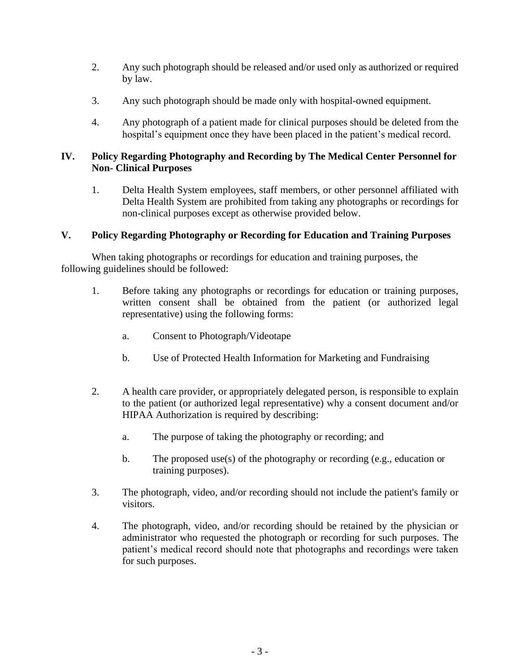- 2. Any such photograph should be released and/or used only as authorized or required by law.
- 3. Any such photograph should be made only with hospital-owned equipment.
- 4. Any photograph of a patient made for clinical purposes should be deleted from the hospital's equipment once they have been placed in the patient's medical record.

#### **IV. Policy Regarding Photography and Recording by The Medical Center Personnel for Non- Clinical Purposes**

1. Delta Health System employees, staff members, or other personnel affiliated with Delta Health System are prohibited from taking any photographs or recordings for non-clinical purposes except as otherwise provided below.

### **V. Policy Regarding Photography or Recording for Education and Training Purposes**

When taking photographs or recordings for education and training purposes, the following guidelines should be followed:

- 1. Before taking any photographs or recordings for education or training purposes, written consent shall be obtained from the patient (or authorized legal representative) using the following forms:
	- a. Consent to Photograph/Videotape
	- b. Use of Protected Health Information for Marketing and Fundraising
- 2. A health care provider, or appropriately delegated person, is responsible to explain to the patient (or authorized legal representative) why a consent document and/or HIPAA Authorization is required by describing:
	- a. The purpose of taking the photography or recording; and
	- b. The proposed use(s) of the photography or recording (e.g., education or training purposes).
- 3. The photograph, video, and/or recording should not include the patient's family or visitors.
- 4. The photograph, video, and/or recording should be retained by the physician or administrator who requested the photograph or recording for such purposes. The patient's medical record should note that photographs and recordings were taken for such purposes.